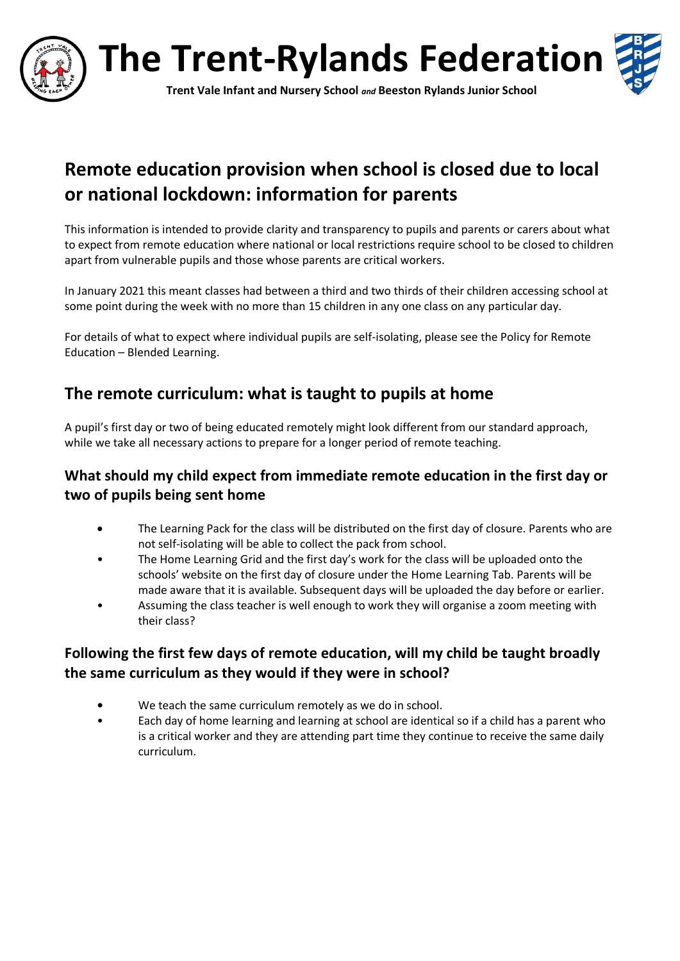

**The Trent-Rylands Federation**



**Trent Vale Infant and Nursery School** *and* **Beeston Rylands Junior School**

# **Remote education provision when school is closed due to local or national lockdown: information for parents**

This information is intended to provide clarity and transparency to pupils and parents or carers about what to expect from remote education where national or local restrictions require school to be closed to children apart from vulnerable pupils and those whose parents are critical workers.

In January 2021 this meant classes had between a third and two thirds of their children accessing school at some point during the week with no more than 15 children in any one class on any particular day.

For details of what to expect where individual pupils are self-isolating, please see the Policy for Remote Education – Blended Learning.

# **The remote curriculum: what is taught to pupils at home**

A pupil's first day or two of being educated remotely might look different from our standard approach, while we take all necessary actions to prepare for a longer period of remote teaching.

## **What should my child expect from immediate remote education in the first day or two of pupils being sent home**

- The Learning Pack for the class will be distributed on the first day of closure. Parents who are not self-isolating will be able to collect the pack from school.
- The Home Learning Grid and the first day's work for the class will be uploaded onto the schools' website on the first day of closure under the Home Learning Tab. Parents will be made aware that it is available. Subsequent days will be uploaded the day before or earlier.
- Assuming the class teacher is well enough to work they will organise a zoom meeting with their class?

## **Following the first few days of remote education, will my child be taught broadly the same curriculum as they would if they were in school?**

- **•** We teach the same curriculum remotely as we do in school.
- Each day of home learning and learning at school are identical so if a child has a parent who is a critical worker and they are attending part time they continue to receive the same daily curriculum.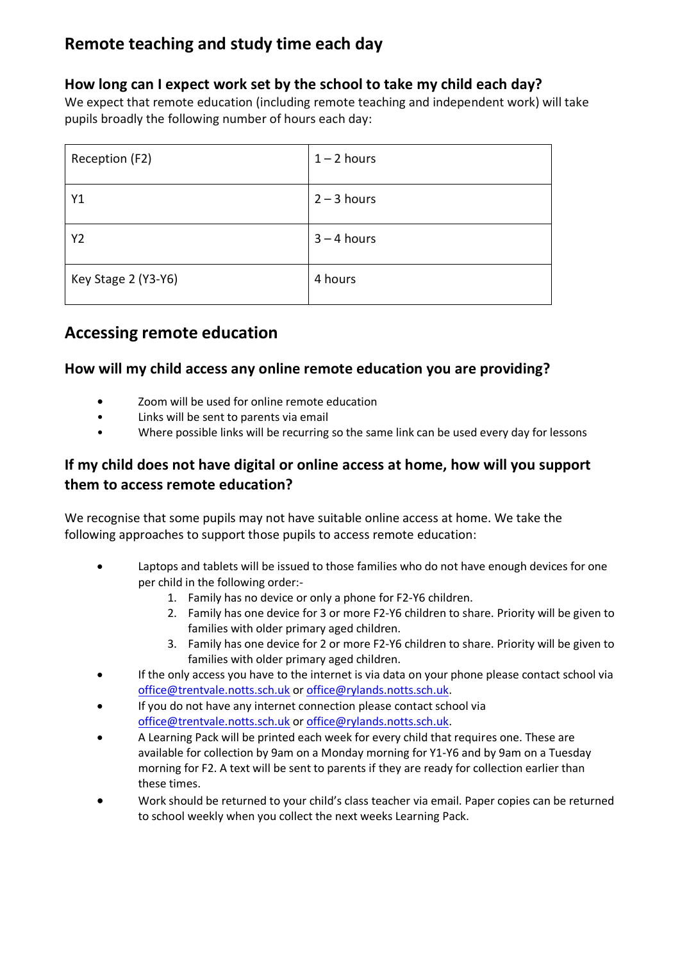# **Remote teaching and study time each day**

## **How long can I expect work set by the school to take my child each day?**

We expect that remote education (including remote teaching and independent work) will take pupils broadly the following number of hours each day:

| Reception (F2)      | $1 - 2$ hours |
|---------------------|---------------|
| Y1                  | $2 - 3$ hours |
| Y <sub>2</sub>      | $3 - 4$ hours |
| Key Stage 2 (Y3-Y6) | 4 hours       |

# **Accessing remote education**

#### **How will my child access any online remote education you are providing?**

- **•** Zoom will be used for online remote education
- Links will be sent to parents via email
- Where possible links will be recurring so the same link can be used every day for lessons

## **If my child does not have digital or online access at home, how will you support them to access remote education?**

We recognise that some pupils may not have suitable online access at home. We take the following approaches to support those pupils to access remote education:

- Laptops and tablets will be issued to those families who do not have enough devices for one per child in the following order:-
	- 1. Family has no device or only a phone for F2-Y6 children.
	- 2. Family has one device for 3 or more F2-Y6 children to share. Priority will be given to families with older primary aged children.
	- 3. Family has one device for 2 or more F2-Y6 children to share. Priority will be given to families with older primary aged children.
- If the only access you have to the internet is via data on your phone please contact school via [office@trentvale.notts.sch.uk](mailto:office@trentvale.notts.sch.uk) o[r office@rylands.notts.sch.uk.](mailto:office@rylands.notts.sch.uk)
- If you do not have any internet connection please contact school via [office@trentvale.notts.sch.uk](mailto:office@trentvale.notts.sch.uk) o[r office@rylands.notts.sch.uk.](mailto:office@rylands.notts.sch.uk)
- A Learning Pack will be printed each week for every child that requires one. These are available for collection by 9am on a Monday morning for Y1-Y6 and by 9am on a Tuesday morning for F2. A text will be sent to parents if they are ready for collection earlier than these times.
- Work should be returned to your child's class teacher via email. Paper copies can be returned to school weekly when you collect the next weeks Learning Pack.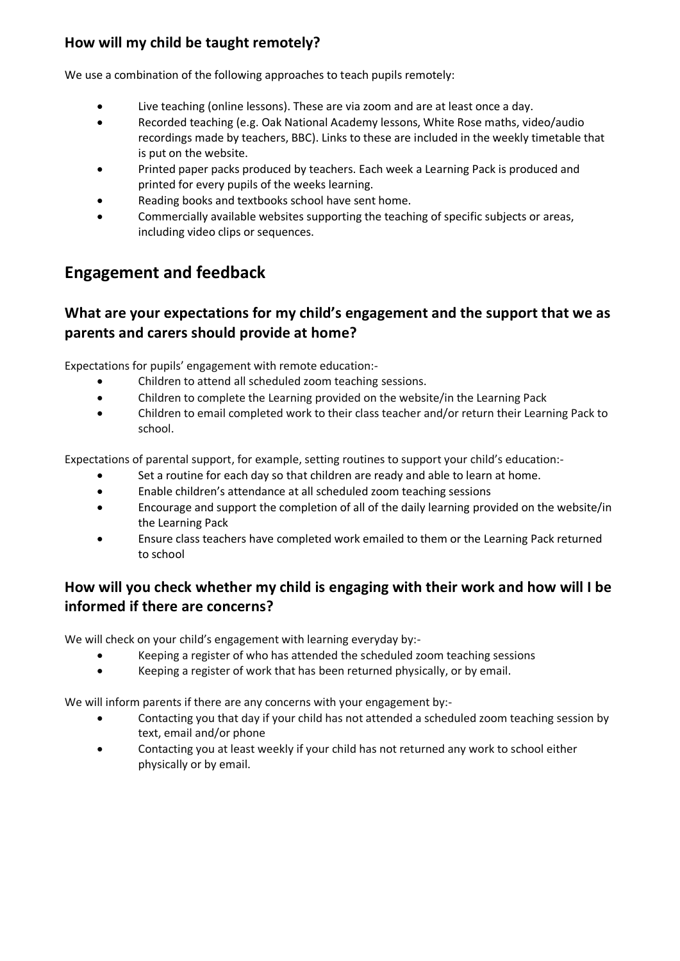## **How will my child be taught remotely?**

We use a combination of the following approaches to teach pupils remotely:

- Live teaching (online lessons). These are via zoom and are at least once a day.
- Recorded teaching (e.g. Oak National Academy lessons, White Rose maths, video/audio recordings made by teachers, BBC). Links to these are included in the weekly timetable that is put on the website.
- Printed paper packs produced by teachers. Each week a Learning Pack is produced and printed for every pupils of the weeks learning.
- Reading books and textbooks school have sent home.
- Commercially available websites supporting the teaching of specific subjects or areas, including video clips or sequences.

# **Engagement and feedback**

### **What are your expectations for my child's engagement and the support that we as parents and carers should provide at home?**

Expectations for pupils' engagement with remote education:-

- Children to attend all scheduled zoom teaching sessions.
- Children to complete the Learning provided on the website/in the Learning Pack
- Children to email completed work to their class teacher and/or return their Learning Pack to school.

Expectations of parental support, for example, setting routines to support your child's education:-

- Set a routine for each day so that children are ready and able to learn at home.
- Enable children's attendance at all scheduled zoom teaching sessions
- Encourage and support the completion of all of the daily learning provided on the website/in the Learning Pack
- Ensure class teachers have completed work emailed to them or the Learning Pack returned to school

## **How will you check whether my child is engaging with their work and how will I be informed if there are concerns?**

We will check on your child's engagement with learning everyday by:-

- Keeping a register of who has attended the scheduled zoom teaching sessions
- Keeping a register of work that has been returned physically, or by email.

We will inform parents if there are any concerns with your engagement by:-

- Contacting you that day if your child has not attended a scheduled zoom teaching session by text, email and/or phone
- Contacting you at least weekly if your child has not returned any work to school either physically or by email.